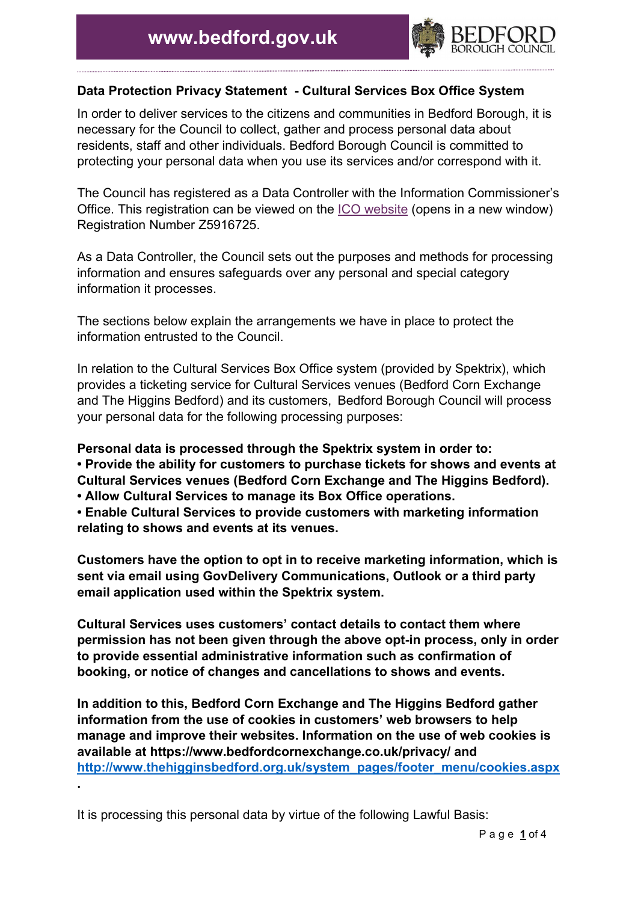

## **Data Protection Privacy Statement - Cultural Services Box Office System**

In order to deliver services to the citizens and communities in Bedford Borough, it is necessary for the Council to collect, gather and process personal data about residents, staff and other individuals. Bedford Borough Council is committed to protecting your personal data when you use its services and/or correspond with it.

The Council has registered as a Data Controller with the Information Commissioner's Office. This registration can be viewed on the [ICO website](https://ico.org.uk/about-the-ico/what-we-do/register-of-fee-payers/) (opens in a new window) Registration Number Z5916725.

As a Data Controller, the Council sets out the purposes and methods for processing information and ensures safeguards over any personal and special category information it processes.

The sections below explain the arrangements we have in place to protect the information entrusted to the Council.

In relation to the Cultural Services Box Office system (provided by Spektrix), which provides a ticketing service for Cultural Services venues (Bedford Corn Exchange and The Higgins Bedford) and its customers, Bedford Borough Council will process your personal data for the following processing purposes:

**Personal data is processed through the Spektrix system in order to: • Provide the ability for customers to purchase tickets for shows and events at Cultural Services venues (Bedford Corn Exchange and The Higgins Bedford).** 

**• Allow Cultural Services to manage its Box Office operations.** 

**• Enable Cultural Services to provide customers with marketing information relating to shows and events at its venues.** 

**Customers have the option to opt in to receive marketing information, which is sent via email using GovDelivery Communications, Outlook or a third party email application used within the Spektrix system.** 

**Cultural Services uses customers' contact details to contact them where permission has not been given through the above opt-in process, only in order to provide essential administrative information such as confirmation of booking, or notice of changes and cancellations to shows and events.**

**In addition to this, Bedford Corn Exchange and The Higgins Bedford gather information from the use of cookies in customers' web browsers to help manage and improve their websites. Information on the use of web cookies is available at https://www.bedfordcornexchange.co.uk/privacy/ and [http://www.thehigginsbedford.org.uk/system\\_pages/footer\\_menu/cookies.aspx](http://www.thehigginsbedford.org.uk/system_pages/footer_menu/cookies.aspx) .**

It is processing this personal data by virtue of the following Lawful Basis: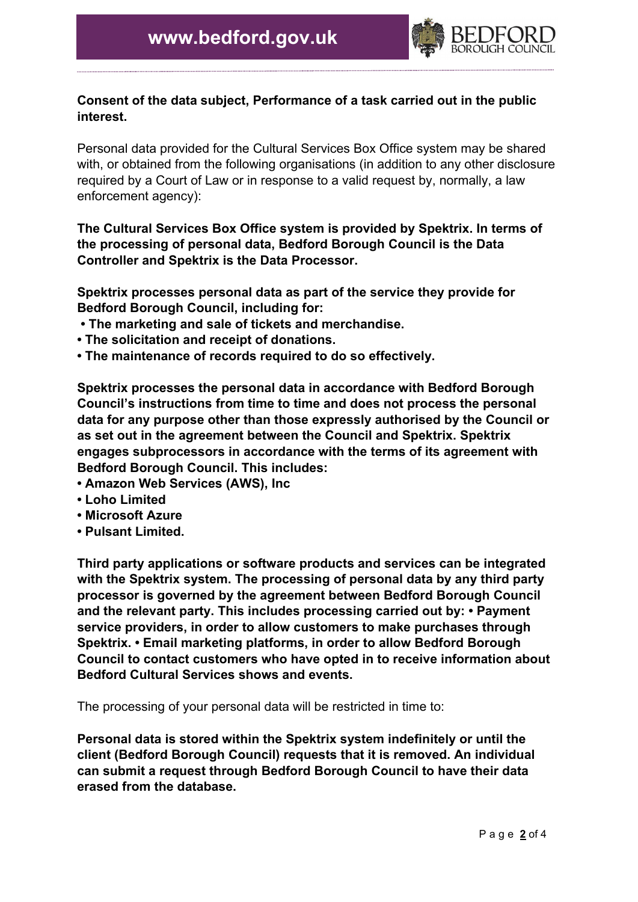

## **Consent of the data subject, Performance of a task carried out in the public interest.**

Personal data provided for the Cultural Services Box Office system may be shared with, or obtained from the following organisations (in addition to any other disclosure required by a Court of Law or in response to a valid request by, normally, a law enforcement agency):

**The Cultural Services Box Office system is provided by Spektrix. In terms of the processing of personal data, Bedford Borough Council is the Data Controller and Spektrix is the Data Processor.** 

**Spektrix processes personal data as part of the service they provide for Bedford Borough Council, including for:**

- **The marketing and sale of tickets and merchandise.**
- **The solicitation and receipt of donations.**
- **The maintenance of records required to do so effectively.**

**Spektrix processes the personal data in accordance with Bedford Borough Council's instructions from time to time and does not process the personal data for any purpose other than those expressly authorised by the Council or as set out in the agreement between the Council and Spektrix. Spektrix engages subprocessors in accordance with the terms of its agreement with Bedford Borough Council. This includes:** 

- **Amazon Web Services (AWS), Inc**
- **Loho Limited**
- **Microsoft Azure**
- **Pulsant Limited.**

**Third party applications or software products and services can be integrated with the Spektrix system. The processing of personal data by any third party processor is governed by the agreement between Bedford Borough Council and the relevant party. This includes processing carried out by: • Payment service providers, in order to allow customers to make purchases through Spektrix. • Email marketing platforms, in order to allow Bedford Borough Council to contact customers who have opted in to receive information about Bedford Cultural Services shows and events.**

The processing of your personal data will be restricted in time to:

**Personal data is stored within the Spektrix system indefinitely or until the client (Bedford Borough Council) requests that it is removed. An individual can submit a request through Bedford Borough Council to have their data erased from the database.**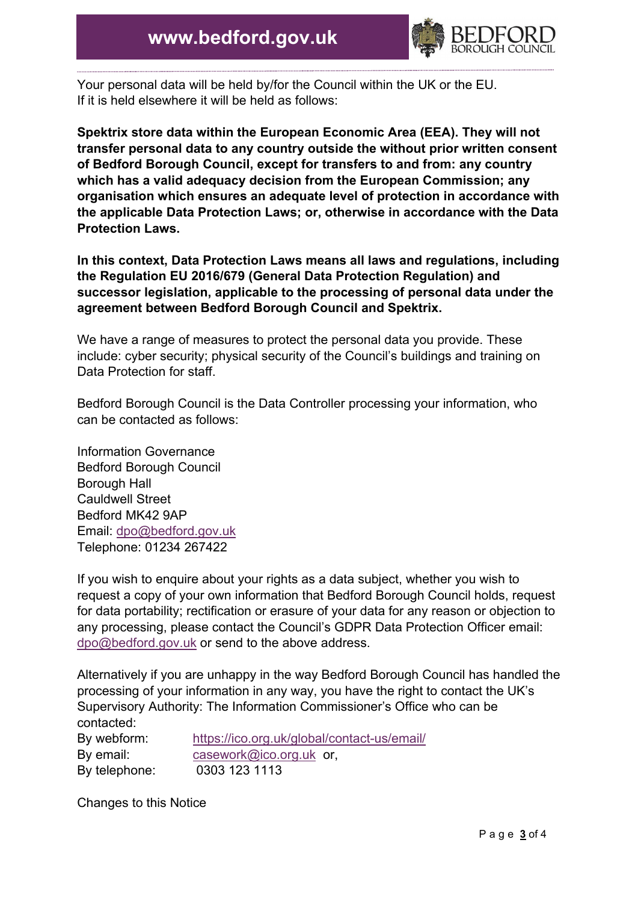

Your personal data will be held by/for the Council within the UK or the EU. If it is held elsewhere it will be held as follows:

**Spektrix store data within the European Economic Area (EEA). They will not transfer personal data to any country outside the without prior written consent of Bedford Borough Council, except for transfers to and from: any country which has a valid adequacy decision from the European Commission; any organisation which ensures an adequate level of protection in accordance with the applicable Data Protection Laws; or, otherwise in accordance with the Data Protection Laws.** 

**In this context, Data Protection Laws means all laws and regulations, including the Regulation EU 2016/679 (General Data Protection Regulation) and successor legislation, applicable to the processing of personal data under the agreement between Bedford Borough Council and Spektrix.**

We have a range of measures to protect the personal data you provide. These include: cyber security; physical security of the Council's buildings and training on Data Protection for staff.

Bedford Borough Council is the Data Controller processing your information, who can be contacted as follows:

Information Governance Bedford Borough Council Borough Hall Cauldwell Street Bedford MK42 9AP Email: [dpo@bedford.gov.uk](mailto:dpo@bedford.gov.uk) Telephone: 01234 267422

If you wish to enquire about your rights as a data subject, whether you wish to request a copy of your own information that Bedford Borough Council holds, request for data portability; rectification or erasure of your data for any reason or objection to any processing, please contact the Council's GDPR Data Protection Officer email: [dpo@bedford.gov.uk](mailto:dpo@bedford.gov.uk) or send to the above address.

Alternatively if you are unhappy in the way Bedford Borough Council has handled the processing of your information in any way, you have the right to contact the UK's Supervisory Authority: The Information Commissioner's Office who can be contacted:

| By webform:   | https://ico.org.uk/global/contact-us/email/ |
|---------------|---------------------------------------------|
| By email:     | casework@ico.org.uk or,                     |
| By telephone: | 0303 123 1113                               |

Changes to this Notice